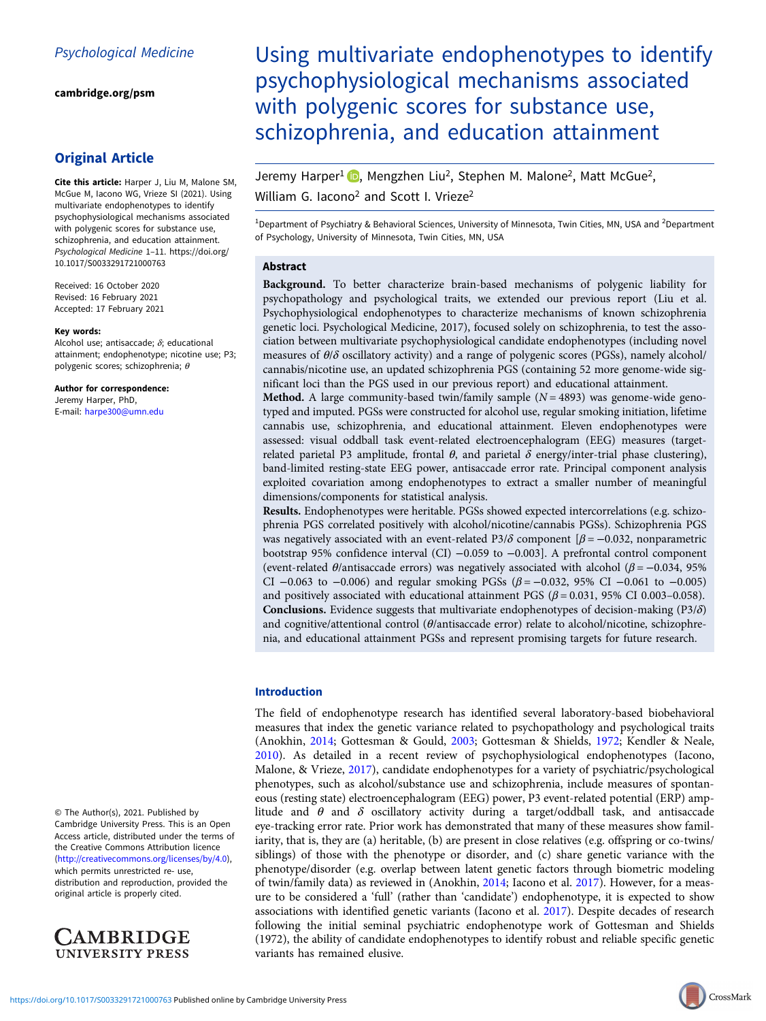[cambridge.org/psm](https://www.cambridge.org/psm)

## Original Article

Cite this article: Harper J, Liu M, Malone SM, McGue M, Iacono WG, Vrieze SI (2021). Using multivariate endophenotypes to identify psychophysiological mechanisms associated with polygenic scores for substance use, schizophrenia, and education attainment. Psychological Medicine 1–11. [https://doi.org/](https://doi.org/10.1017/S0033291721000763) [10.1017/S0033291721000763](https://doi.org/10.1017/S0033291721000763)

Received: 16 October 2020 Revised: 16 February 2021 Accepted: 17 February 2021

#### Key words:

Alcohol use; antisaccade;  $\delta$ ; educational attainment; endophenotype; nicotine use; P3; polygenic scores; schizophrenia; θ

Author for correspondence: Jeremy Harper, PhD, E-mail: [harpe300@umn.edu](mailto:harpe300@umn.edu)

© The Author(s), 2021. Published by Cambridge University Press. This is an Open Access article, distributed under the terms of the Creative Commons Attribution licence (<http://creativecommons.org/licenses/by/4.0>), which permits unrestricted re- use, distribution and reproduction, provided the original article is properly cited.



# Using multivariate endophenotypes to identify psychophysiological mechanisms associated with polygenic scores for substance use, schizophrenia, and education attainment

Jeremy Harper<sup>1</sup> **D**, Mengzhen Liu<sup>2</sup>, Stephen M. Malone<sup>2</sup>, Matt McGue<sup>2</sup>, William G. Iacono<sup>2</sup> and Scott I. Vrieze<sup>2</sup>

<sup>1</sup>Department of Psychiatry & Behavioral Sciences, University of Minnesota, Twin Cities, MN, USA and <sup>2</sup>Department of Psychology, University of Minnesota, Twin Cities, MN, USA

## Abstract

Background. To better characterize brain-based mechanisms of polygenic liability for psychopathology and psychological traits, we extended our previous report (Liu et al. Psychophysiological endophenotypes to characterize mechanisms of known schizophrenia genetic loci. Psychological Medicine, 2017), focused solely on schizophrenia, to test the association between multivariate psychophysiological candidate endophenotypes (including novel measures of  $\theta/\delta$  oscillatory activity) and a range of polygenic scores (PGSs), namely alcohol/ cannabis/nicotine use, an updated schizophrenia PGS (containing 52 more genome-wide significant loci than the PGS used in our previous report) and educational attainment.

**Method.** A large community-based twin/family sample  $(N = 4893)$  was genome-wide genotyped and imputed. PGSs were constructed for alcohol use, regular smoking initiation, lifetime cannabis use, schizophrenia, and educational attainment. Eleven endophenotypes were assessed: visual oddball task event-related electroencephalogram (EEG) measures (targetrelated parietal P3 amplitude, frontal θ, and parietal δ energy/inter-trial phase clustering), band-limited resting-state EEG power, antisaccade error rate. Principal component analysis exploited covariation among endophenotypes to extract a smaller number of meaningful dimensions/components for statistical analysis.

Results. Endophenotypes were heritable. PGSs showed expected intercorrelations (e.g. schizophrenia PGS correlated positively with alcohol/nicotine/cannabis PGSs). Schizophrenia PGS was negatively associated with an event-related P3/ $\delta$  component [ $\beta$  = -0.032, nonparametric bootstrap 95% confidence interval (CI) −0.059 to −0.003]. A prefrontal control component (event-related  $\theta$ /antisaccade errors) was negatively associated with alcohol ( $\beta$  = −0.034, 95%) CI  $-0.063$  to  $-0.006$ ) and regular smoking PGSs ( $\beta = -0.032$ , 95% CI  $-0.061$  to  $-0.005$ ) and positively associated with educational attainment PGS ( $\beta$  = 0.031, 95% CI 0.003–0.058). **Conclusions.** Evidence suggests that multivariate endophenotypes of decision-making  $(P3/\delta)$ and cognitive/attentional control ( $\theta$ /antisaccade error) relate to alcohol/nicotine, schizophrenia, and educational attainment PGSs and represent promising targets for future research.

## Introduction

The field of endophenotype research has identified several laboratory-based biobehavioral measures that index the genetic variance related to psychopathology and psychological traits (Anokhin, [2014;](#page-8-0) Gottesman & Gould, [2003](#page-8-0); Gottesman & Shields, [1972;](#page-8-0) Kendler & Neale, [2010\)](#page-9-0). As detailed in a recent review of psychophysiological endophenotypes (Iacono, Malone, & Vrieze, [2017](#page-9-0)), candidate endophenotypes for a variety of psychiatric/psychological phenotypes, such as alcohol/substance use and schizophrenia, include measures of spontaneous (resting state) electroencephalogram (EEG) power, P3 event-related potential (ERP) amplitude and  $\theta$  and  $\delta$  oscillatory activity during a target/oddball task, and antisaccade eye-tracking error rate. Prior work has demonstrated that many of these measures show familiarity, that is, they are (a) heritable, (b) are present in close relatives (e.g. offspring or co-twins/ siblings) of those with the phenotype or disorder, and (c) share genetic variance with the phenotype/disorder (e.g. overlap between latent genetic factors through biometric modeling of twin/family data) as reviewed in (Anokhin, [2014;](#page-8-0) Iacono et al. [2017](#page-9-0)). However, for a measure to be considered a 'full' (rather than 'candidate') endophenotype, it is expected to show associations with identified genetic variants (Iacono et al. [2017](#page-9-0)). Despite decades of research following the initial seminal psychiatric endophenotype work of Gottesman and Shields (1972), the ability of candidate endophenotypes to identify robust and reliable specific genetic variants has remained elusive.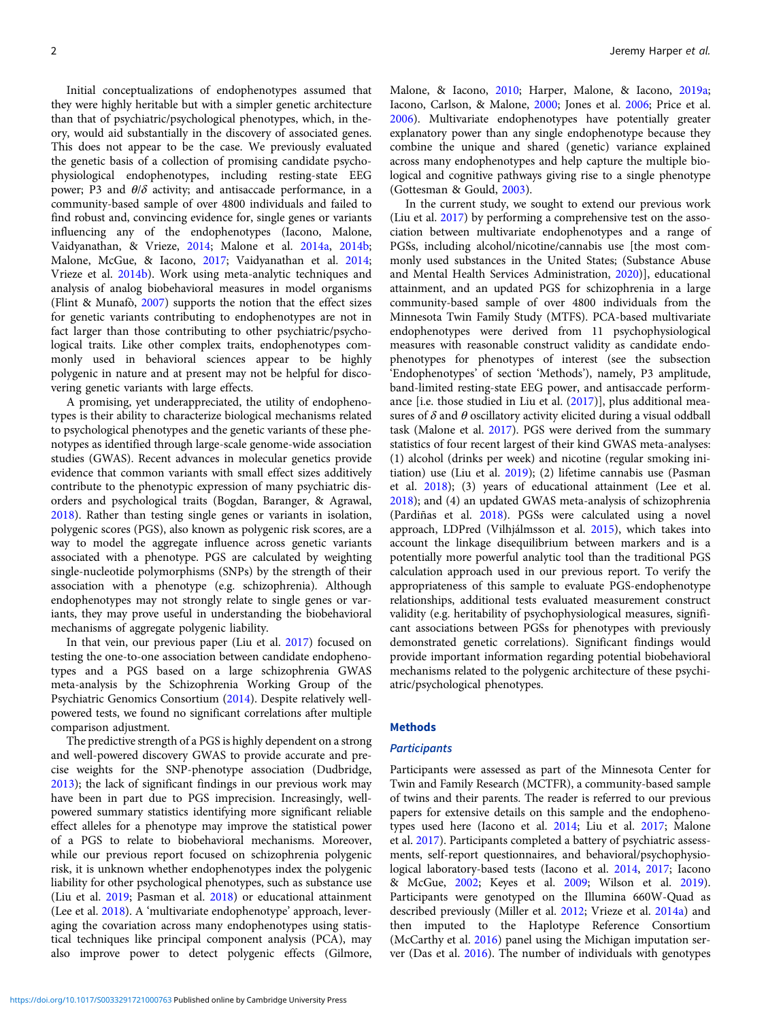Initial conceptualizations of endophenotypes assumed that they were highly heritable but with a simpler genetic architecture than that of psychiatric/psychological phenotypes, which, in theory, would aid substantially in the discovery of associated genes. This does not appear to be the case. We previously evaluated the genetic basis of a collection of promising candidate psychophysiological endophenotypes, including resting-state EEG power; P3 and  $\theta/\delta$  activity; and antisaccade performance, in a community-based sample of over 4800 individuals and failed to find robust and, convincing evidence for, single genes or variants influencing any of the endophenotypes (Iacono, Malone, Vaidyanathan, & Vrieze, [2014;](#page-9-0) Malone et al. [2014a](#page-9-0), [2014b](#page-9-0); Malone, McGue, & Iacono, [2017](#page-9-0); Vaidyanathan et al. [2014](#page-10-0); Vrieze et al. [2014b\)](#page-10-0). Work using meta-analytic techniques and analysis of analog biobehavioral measures in model organisms (Flint & Munafò, [2007](#page-8-0)) supports the notion that the effect sizes for genetic variants contributing to endophenotypes are not in fact larger than those contributing to other psychiatric/psychological traits. Like other complex traits, endophenotypes commonly used in behavioral sciences appear to be highly polygenic in nature and at present may not be helpful for discovering genetic variants with large effects.

A promising, yet underappreciated, the utility of endophenotypes is their ability to characterize biological mechanisms related to psychological phenotypes and the genetic variants of these phenotypes as identified through large-scale genome-wide association studies (GWAS). Recent advances in molecular genetics provide evidence that common variants with small effect sizes additively contribute to the phenotypic expression of many psychiatric disorders and psychological traits (Bogdan, Baranger, & Agrawal, [2018\)](#page-8-0). Rather than testing single genes or variants in isolation, polygenic scores (PGS), also known as polygenic risk scores, are a way to model the aggregate influence across genetic variants associated with a phenotype. PGS are calculated by weighting single-nucleotide polymorphisms (SNPs) by the strength of their association with a phenotype (e.g. schizophrenia). Although endophenotypes may not strongly relate to single genes or variants, they may prove useful in understanding the biobehavioral mechanisms of aggregate polygenic liability.

In that vein, our previous paper (Liu et al. [2017](#page-9-0)) focused on testing the one-to-one association between candidate endophenotypes and a PGS based on a large schizophrenia GWAS meta-analysis by the Schizophrenia Working Group of the Psychiatric Genomics Consortium [\(2014\)](#page-10-0). Despite relatively wellpowered tests, we found no significant correlations after multiple comparison adjustment.

The predictive strength of a PGS is highly dependent on a strong and well-powered discovery GWAS to provide accurate and precise weights for the SNP-phenotype association (Dudbridge, [2013\)](#page-8-0); the lack of significant findings in our previous work may have been in part due to PGS imprecision. Increasingly, wellpowered summary statistics identifying more significant reliable effect alleles for a phenotype may improve the statistical power of a PGS to relate to biobehavioral mechanisms. Moreover, while our previous report focused on schizophrenia polygenic risk, it is unknown whether endophenotypes index the polygenic liability for other psychological phenotypes, such as substance use (Liu et al. [2019;](#page-9-0) Pasman et al. [2018\)](#page-10-0) or educational attainment (Lee et al. [2018](#page-9-0)). A 'multivariate endophenotype' approach, leveraging the covariation across many endophenotypes using statistical techniques like principal component analysis (PCA), may also improve power to detect polygenic effects (Gilmore,

Malone, & Iacono, [2010;](#page-8-0) Harper, Malone, & Iacono, [2019a;](#page-9-0) Iacono, Carlson, & Malone, [2000;](#page-9-0) Jones et al. [2006;](#page-9-0) Price et al. [2006\)](#page-10-0). Multivariate endophenotypes have potentially greater explanatory power than any single endophenotype because they combine the unique and shared (genetic) variance explained across many endophenotypes and help capture the multiple biological and cognitive pathways giving rise to a single phenotype (Gottesman & Gould, [2003\)](#page-8-0).

In the current study, we sought to extend our previous work (Liu et al. [2017\)](#page-9-0) by performing a comprehensive test on the association between multivariate endophenotypes and a range of PGSs, including alcohol/nicotine/cannabis use [the most commonly used substances in the United States; (Substance Abuse and Mental Health Services Administration, [2020\)](#page-10-0)], educational attainment, and an updated PGS for schizophrenia in a large community-based sample of over 4800 individuals from the Minnesota Twin Family Study (MTFS). PCA-based multivariate endophenotypes were derived from 11 psychophysiological measures with reasonable construct validity as candidate endophenotypes for phenotypes of interest (see the subsection 'Endophenotypes' of section 'Methods'), namely, P3 amplitude, band-limited resting-state EEG power, and antisaccade performance [i.e. those studied in Liu et al. ([2017](#page-9-0))], plus additional measures of  $\delta$  and  $\theta$  oscillatory activity elicited during a visual oddball task (Malone et al. [2017](#page-9-0)). PGS were derived from the summary statistics of four recent largest of their kind GWAS meta-analyses: (1) alcohol (drinks per week) and nicotine (regular smoking initiation) use (Liu et al. [2019\)](#page-9-0); (2) lifetime cannabis use (Pasman et al. [2018](#page-10-0)); (3) years of educational attainment (Lee et al. [2018\)](#page-9-0); and (4) an updated GWAS meta-analysis of schizophrenia (Pardiñas et al. [2018](#page-10-0)). PGSs were calculated using a novel approach, LDPred (Vilhjálmsson et al. [2015\)](#page-10-0), which takes into account the linkage disequilibrium between markers and is a potentially more powerful analytic tool than the traditional PGS calculation approach used in our previous report. To verify the appropriateness of this sample to evaluate PGS-endophenotype relationships, additional tests evaluated measurement construct validity (e.g. heritability of psychophysiological measures, significant associations between PGSs for phenotypes with previously demonstrated genetic correlations). Significant findings would provide important information regarding potential biobehavioral mechanisms related to the polygenic architecture of these psychiatric/psychological phenotypes.

#### **Methods**

#### **Participants**

Participants were assessed as part of the Minnesota Center for Twin and Family Research (MCTFR), a community-based sample of twins and their parents. The reader is referred to our previous papers for extensive details on this sample and the endophenotypes used here (Iacono et al. [2014;](#page-9-0) Liu et al. [2017;](#page-9-0) Malone et al. [2017\)](#page-9-0). Participants completed a battery of psychiatric assessments, self-report questionnaires, and behavioral/psychophysiological laboratory-based tests (Iacono et al. [2014](#page-9-0), [2017;](#page-9-0) Iacono & McGue, [2002](#page-9-0); Keyes et al. [2009](#page-9-0); Wilson et al. [2019](#page-10-0)). Participants were genotyped on the Illumina 660W-Quad as described previously (Miller et al. [2012](#page-10-0); Vrieze et al. [2014a\)](#page-10-0) and then imputed to the Haplotype Reference Consortium (McCarthy et al. [2016](#page-9-0)) panel using the Michigan imputation server (Das et al. [2016](#page-8-0)). The number of individuals with genotypes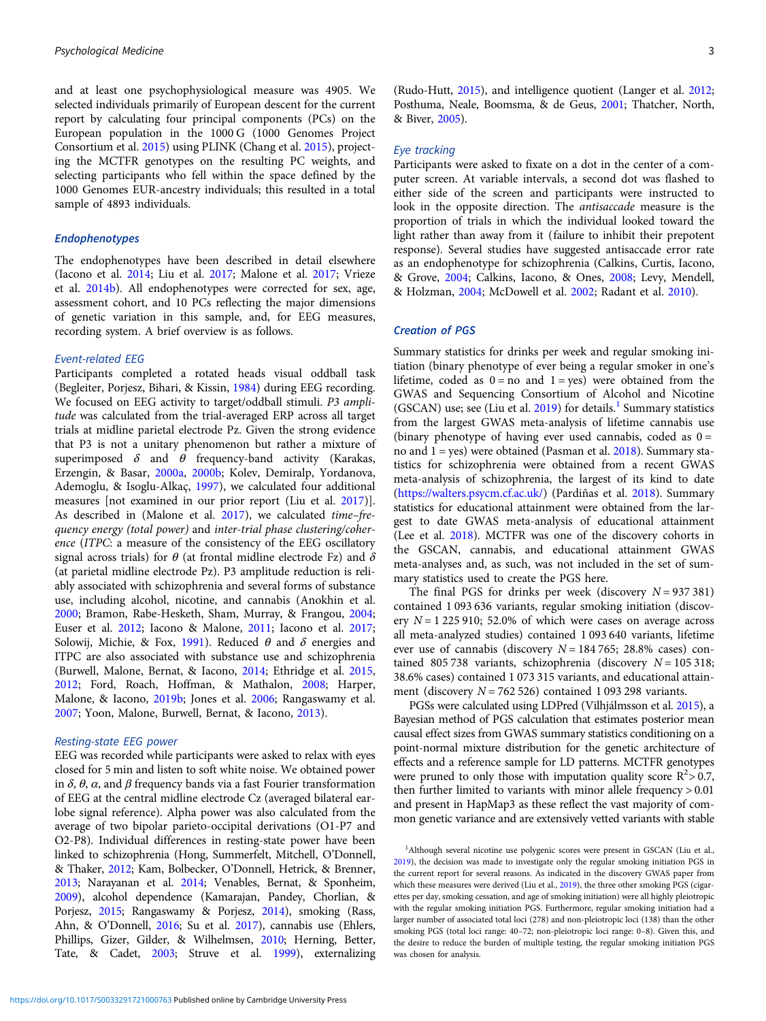and at least one psychophysiological measure was 4905. We selected individuals primarily of European descent for the current report by calculating four principal components (PCs) on the European population in the 1000 G (1000 Genomes Project Consortium et al. [2015\)](#page-8-0) using PLINK (Chang et al. [2015\)](#page-8-0), projecting the MCTFR genotypes on the resulting PC weights, and selecting participants who fell within the space defined by the 1000 Genomes EUR-ancestry individuals; this resulted in a total sample of 4893 individuals.

## Endophenotypes

The endophenotypes have been described in detail elsewhere (Iacono et al. [2014](#page-9-0); Liu et al. [2017](#page-9-0); Malone et al. [2017](#page-9-0); Vrieze et al. [2014b\)](#page-10-0). All endophenotypes were corrected for sex, age, assessment cohort, and 10 PCs reflecting the major dimensions of genetic variation in this sample, and, for EEG measures, recording system. A brief overview is as follows.

#### Event-related EEG

Participants completed a rotated heads visual oddball task (Begleiter, Porjesz, Bihari, & Kissin, [1984](#page-8-0)) during EEG recording. We focused on EEG activity to target/oddball stimuli. P3 amplitude was calculated from the trial-averaged ERP across all target trials at midline parietal electrode Pz. Given the strong evidence that P3 is not a unitary phenomenon but rather a mixture of superimposed  $\delta$  and  $\theta$  frequency-band activity (Karakas, Erzengin, & Basar, [2000a,](#page-9-0) [2000b](#page-9-0); Kolev, Demiralp, Yordanova, Ademoglu, & Isoglu-Alkaç, [1997](#page-9-0)), we calculated four additional measures [not examined in our prior report (Liu et al. [2017](#page-9-0))]. As described in (Malone et al. [2017](#page-9-0)), we calculated time–frequency energy (total power) and inter-trial phase clustering/coherence (ITPC: a measure of the consistency of the EEG oscillatory signal across trials) for  $\theta$  (at frontal midline electrode Fz) and  $\delta$ (at parietal midline electrode Pz). P3 amplitude reduction is reliably associated with schizophrenia and several forms of substance use, including alcohol, nicotine, and cannabis (Anokhin et al. [2000;](#page-8-0) Bramon, Rabe-Hesketh, Sham, Murray, & Frangou, [2004;](#page-8-0) Euser et al. [2012](#page-8-0); Iacono & Malone, [2011](#page-9-0); Iacono et al. [2017;](#page-9-0) Solowij, Michie, & Fox, [1991](#page-10-0)). Reduced  $\theta$  and  $\delta$  energies and ITPC are also associated with substance use and schizophrenia (Burwell, Malone, Bernat, & Iacono, [2014](#page-8-0); Ethridge et al. [2015,](#page-8-0) [2012;](#page-8-0) Ford, Roach, Hoffman, & Mathalon, [2008](#page-8-0); Harper, Malone, & Iacono, [2019b](#page-9-0); Jones et al. [2006;](#page-9-0) Rangaswamy et al. [2007;](#page-10-0) Yoon, Malone, Burwell, Bernat, & Iacono, [2013](#page-10-0)).

#### Resting-state EEG power

EEG was recorded while participants were asked to relax with eyes closed for 5 min and listen to soft white noise. We obtained power in δ,  $θ$ ,  $α$ , and  $β$  frequency bands via a fast Fourier transformation of EEG at the central midline electrode Cz (averaged bilateral earlobe signal reference). Alpha power was also calculated from the average of two bipolar parieto-occipital derivations (O1-P7 and O2-P8). Individual differences in resting-state power have been linked to schizophrenia (Hong, Summerfelt, Mitchell, O'Donnell, & Thaker, [2012](#page-9-0); Kam, Bolbecker, O'Donnell, Hetrick, & Brenner, [2013](#page-9-0); Narayanan et al. [2014;](#page-10-0) Venables, Bernat, & Sponheim, [2009](#page-10-0)), alcohol dependence (Kamarajan, Pandey, Chorlian, & Porjesz, [2015;](#page-9-0) Rangaswamy & Porjesz, [2014](#page-10-0)), smoking (Rass, Ahn, & O'Donnell, [2016](#page-10-0); Su et al. [2017\)](#page-10-0), cannabis use (Ehlers, Phillips, Gizer, Gilder, & Wilhelmsen, [2010;](#page-8-0) Herning, Better, Tate, & Cadet, [2003;](#page-9-0) Struve et al. [1999](#page-10-0)), externalizing

(Rudo-Hutt, [2015\)](#page-10-0), and intelligence quotient (Langer et al. [2012](#page-9-0); Posthuma, Neale, Boomsma, & de Geus, [2001](#page-10-0); Thatcher, North, & Biver, [2005](#page-10-0)).

## Eye tracking

Participants were asked to fixate on a dot in the center of a computer screen. At variable intervals, a second dot was flashed to either side of the screen and participants were instructed to look in the opposite direction. The antisaccade measure is the proportion of trials in which the individual looked toward the light rather than away from it (failure to inhibit their prepotent response). Several studies have suggested antisaccade error rate as an endophenotype for schizophrenia (Calkins, Curtis, Iacono, & Grove, [2004](#page-8-0); Calkins, Iacono, & Ones, [2008](#page-8-0); Levy, Mendell, & Holzman, [2004;](#page-9-0) McDowell et al. [2002](#page-9-0); Radant et al. [2010\)](#page-10-0).

## Creation of PGS

Summary statistics for drinks per week and regular smoking initiation (binary phenotype of ever being a regular smoker in one's lifetime, coded as  $0 = no$  and  $1 = yes$ ) were obtained from the GWAS and Sequencing Consortium of Alcohol and Nicotine (GSCAN) use; see (Liu et al.  $2019$ ) for details.<sup>1</sup> Summary statistics from the largest GWAS meta-analysis of lifetime cannabis use (binary phenotype of having ever used cannabis, coded as  $0 =$ no and  $1 = yes$ ) were obtained (Pasman et al.  $2018$ ). Summary statistics for schizophrenia were obtained from a recent GWAS meta-analysis of schizophrenia, the largest of its kind to date [\(https://walters.psycm.cf.ac.uk/](https://walters.psycm.cf.ac.uk/)) (Pardiñas et al. [2018\)](#page-10-0). Summary statistics for educational attainment were obtained from the largest to date GWAS meta-analysis of educational attainment (Lee et al. [2018](#page-9-0)). MCTFR was one of the discovery cohorts in the GSCAN, cannabis, and educational attainment GWAS meta-analyses and, as such, was not included in the set of summary statistics used to create the PGS here.

The final PGS for drinks per week (discovery  $N = 937381$ ) contained 1 093 636 variants, regular smoking initiation (discovery  $N = 1225910$ ; 52.0% of which were cases on average across all meta-analyzed studies) contained 1 093 640 variants, lifetime ever use of cannabis (discovery  $N = 184,765$ ; 28.8% cases) contained 805 738 variants, schizophrenia (discovery  $N = 105318$ ; 38.6% cases) contained 1 073 315 variants, and educational attainment (discovery  $N = 762526$ ) contained 1 093 298 variants.

PGSs were calculated using LDPred (Vilhjálmsson et al. [2015\)](#page-10-0), a Bayesian method of PGS calculation that estimates posterior mean causal effect sizes from GWAS summary statistics conditioning on a point-normal mixture distribution for the genetic architecture of effects and a reference sample for LD patterns. MCTFR genotypes were pruned to only those with imputation quality score  $R^2 > 0.7$ , then further limited to variants with minor allele frequency > 0.01 and present in HapMap3 as these reflect the vast majority of common genetic variance and are extensively vetted variants with stable

<sup>&</sup>lt;sup>1</sup>Although several nicotine use polygenic scores were present in GSCAN (Liu et al., [2019\)](#page-9-0), the decision was made to investigate only the regular smoking initiation PGS in the current report for several reasons. As indicated in the discovery GWAS paper from which these measures were derived (Liu et al., [2019\)](#page-9-0), the three other smoking PGS (cigarettes per day, smoking cessation, and age of smoking initiation) were all highly pleiotropic with the regular smoking initiation PGS. Furthermore, regular smoking initiation had a larger number of associated total loci (278) and non-pleiotropic loci (138) than the other smoking PGS (total loci range: 40–72; non-pleiotropic loci range: 0–8). Given this, and the desire to reduce the burden of multiple testing, the regular smoking initiation PGS was chosen for analysis.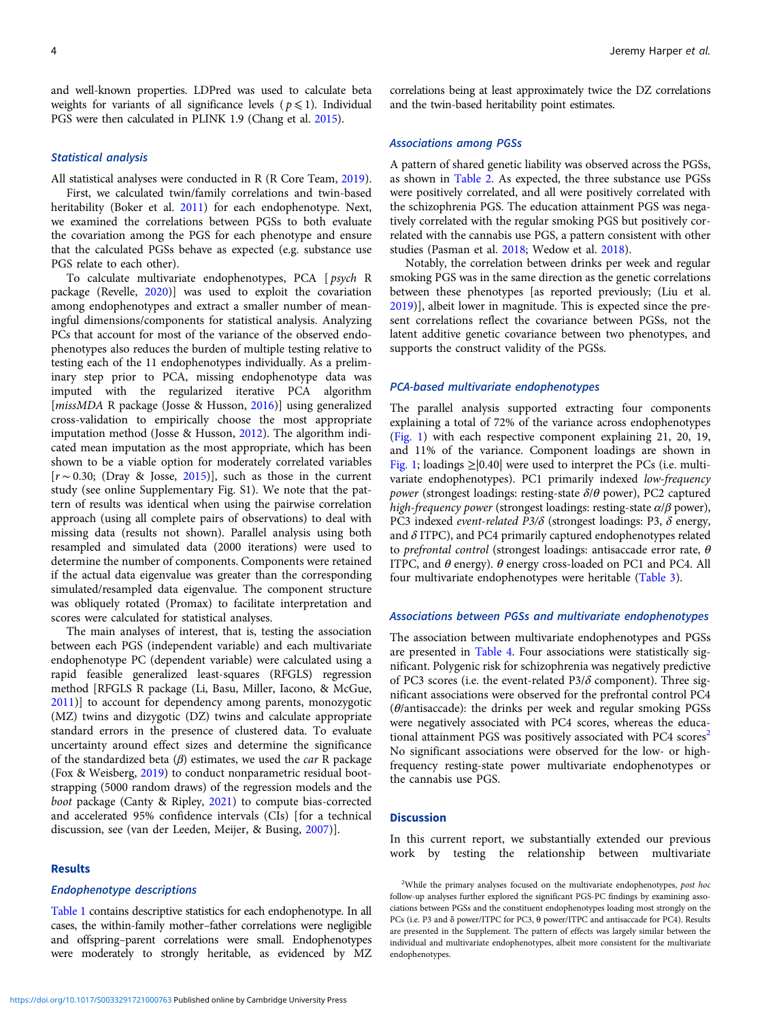and well-known properties. LDPred was used to calculate beta weights for variants of all significance levels ( $p \le 1$ ). Individual PGS were then calculated in PLINK 1.9 (Chang et al. [2015](#page-8-0)).

## Statistical analysis

All statistical analyses were conducted in R (R Core Team, [2019\)](#page-10-0).

First, we calculated twin/family correlations and twin-based heritability (Boker et al. [2011](#page-8-0)) for each endophenotype. Next, we examined the correlations between PGSs to both evaluate the covariation among the PGS for each phenotype and ensure that the calculated PGSs behave as expected (e.g. substance use PGS relate to each other).

To calculate multivariate endophenotypes, PCA [ psych R package (Revelle, [2020\)](#page-10-0)] was used to exploit the covariation among endophenotypes and extract a smaller number of meaningful dimensions/components for statistical analysis. Analyzing PCs that account for most of the variance of the observed endophenotypes also reduces the burden of multiple testing relative to testing each of the 11 endophenotypes individually. As a preliminary step prior to PCA, missing endophenotype data was imputed with the regularized iterative PCA algorithm [missMDA R package (Josse & Husson, [2016](#page-9-0))] using generalized cross-validation to empirically choose the most appropriate imputation method (Josse & Husson, [2012](#page-9-0)). The algorithm indicated mean imputation as the most appropriate, which has been shown to be a viable option for moderately correlated variables [r ∼ 0.30; (Dray & Josse, [2015\)](#page-8-0)], such as those in the current study (see online Supplementary Fig. S1). We note that the pattern of results was identical when using the pairwise correlation approach (using all complete pairs of observations) to deal with missing data (results not shown). Parallel analysis using both resampled and simulated data (2000 iterations) were used to determine the number of components. Components were retained if the actual data eigenvalue was greater than the corresponding simulated/resampled data eigenvalue. The component structure was obliquely rotated (Promax) to facilitate interpretation and scores were calculated for statistical analyses.

The main analyses of interest, that is, testing the association between each PGS (independent variable) and each multivariate endophenotype PC (dependent variable) were calculated using a rapid feasible generalized least-squares (RFGLS) regression method [RFGLS R package (Li, Basu, Miller, Iacono, & McGue, [2011\)](#page-9-0)] to account for dependency among parents, monozygotic (MZ) twins and dizygotic (DZ) twins and calculate appropriate standard errors in the presence of clustered data. To evaluate uncertainty around effect sizes and determine the significance of the standardized beta  $(\beta)$  estimates, we used the *car* R package (Fox & Weisberg, [2019\)](#page-8-0) to conduct nonparametric residual bootstrapping (5000 random draws) of the regression models and the boot package (Canty & Ripley, [2021\)](#page-8-0) to compute bias-corrected and accelerated 95% confidence intervals (CIs) [for a technical discussion, see (van der Leeden, Meijer, & Busing, [2007\)](#page-10-0)].

## Results

#### Endophenotype descriptions

[Table 1](#page-4-0) contains descriptive statistics for each endophenotype. In all cases, the within-family mother–father correlations were negligible and offspring–parent correlations were small. Endophenotypes were moderately to strongly heritable, as evidenced by MZ

correlations being at least approximately twice the DZ correlations and the twin-based heritability point estimates.

## Associations among PGSs

A pattern of shared genetic liability was observed across the PGSs, as shown in [Table 2](#page-4-0). As expected, the three substance use PGSs were positively correlated, and all were positively correlated with the schizophrenia PGS. The education attainment PGS was negatively correlated with the regular smoking PGS but positively correlated with the cannabis use PGS, a pattern consistent with other studies (Pasman et al. [2018;](#page-10-0) Wedow et al. [2018\)](#page-10-0).

Notably, the correlation between drinks per week and regular smoking PGS was in the same direction as the genetic correlations between these phenotypes [as reported previously; (Liu et al. [2019\)](#page-9-0)], albeit lower in magnitude. This is expected since the present correlations reflect the covariance between PGSs, not the latent additive genetic covariance between two phenotypes, and supports the construct validity of the PGSs.

#### PCA-based multivariate endophenotypes

The parallel analysis supported extracting four components explaining a total of 72% of the variance across endophenotypes ([Fig. 1](#page-5-0)) with each respective component explaining 21, 20, 19, and 11% of the variance. Component loadings are shown in [Fig. 1](#page-5-0); loadings  $\geq$  [0.40] were used to interpret the PCs (i.e. multivariate endophenotypes). PC1 primarily indexed low-frequency power (strongest loadings: resting-state  $\delta/\theta$  power), PC2 captured high-frequency power (strongest loadings: resting-state  $\alpha/\beta$  power), PC3 indexed event-related P3/δ (strongest loadings: P3, δ energy, and  $\delta$  ITPC), and PC4 primarily captured endophenotypes related to prefrontal control (strongest loadings: antisaccade error rate,  $\theta$ ITPC, and  $\theta$  energy).  $\theta$  energy cross-loaded on PC1 and PC4. All four multivariate endophenotypes were heritable ([Table 3\)](#page-6-0).

## Associations between PGSs and multivariate endophenotypes

The association between multivariate endophenotypes and PGSs are presented in [Table 4](#page-7-0). Four associations were statistically significant. Polygenic risk for schizophrenia was negatively predictive of PC3 scores (i.e. the event-related P3/ $\delta$  component). Three significant associations were observed for the prefrontal control PC4 ( $\theta$ /antisaccade): the drinks per week and regular smoking PGSs were negatively associated with PC4 scores, whereas the educational attainment PGS was positively associated with PC4 scores<sup>2</sup> No significant associations were observed for the low- or highfrequency resting-state power multivariate endophenotypes or the cannabis use PGS.

## **Discussion**

In this current report, we substantially extended our previous work by testing the relationship between multivariate

<sup>&</sup>lt;sup>2</sup>While the primary analyses focused on the multivariate endophenotypes, post hoc follow-up analyses further explored the significant PGS-PC findings by examining associations between PGSs and the constituent endophenotypes loading most strongly on the PCs (i.e. P3 and δ power/ITPC for PC3, θ power/ITPC and antisaccade for PC4). Results are presented in the Supplement. The pattern of effects was largely similar between the individual and multivariate endophenotypes, albeit more consistent for the multivariate endophenotypes.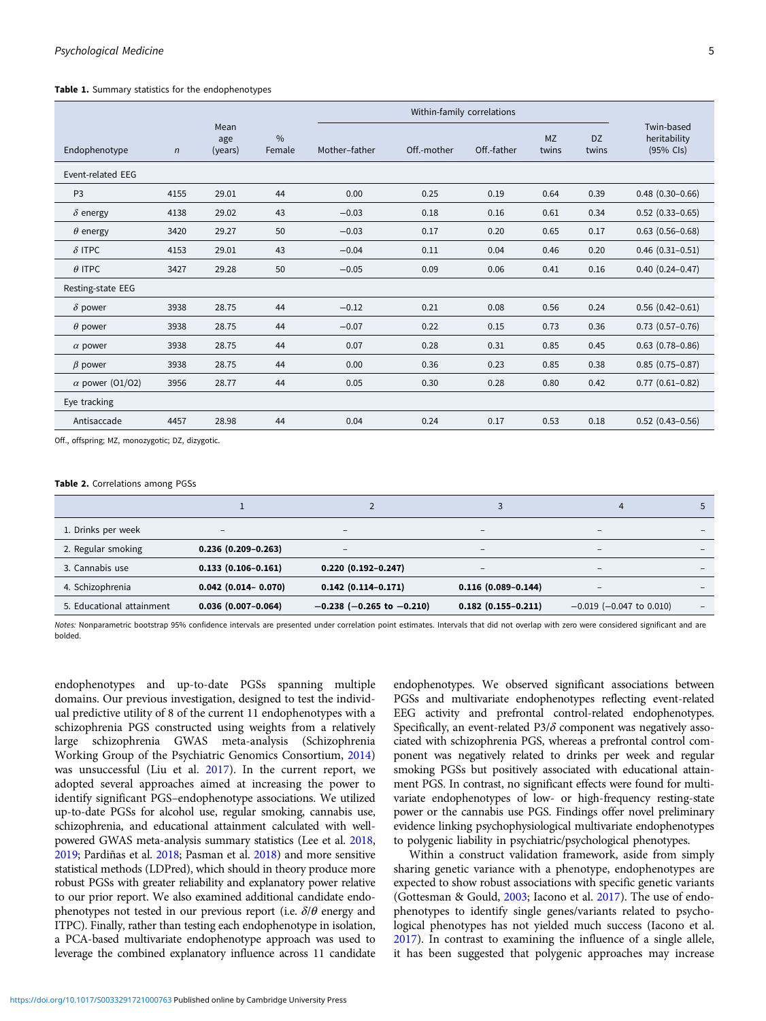#### <span id="page-4-0"></span>Table 1. Summary statistics for the endophenotypes

|                        |            |                        |                         |               | Within-family correlations |             |                    |                    |                                           |
|------------------------|------------|------------------------|-------------------------|---------------|----------------------------|-------------|--------------------|--------------------|-------------------------------------------|
| Endophenotype          | $\sqrt{n}$ | Mean<br>age<br>(years) | $\frac{0}{0}$<br>Female | Mother-father | Off.-mother                | Off.-father | <b>MZ</b><br>twins | <b>DZ</b><br>twins | Twin-based<br>heritability<br>$(95%$ Cls) |
| Event-related EEG      |            |                        |                         |               |                            |             |                    |                    |                                           |
| P <sub>3</sub>         | 4155       | 29.01                  | 44                      | 0.00          | 0.25                       | 0.19        | 0.64               | 0.39               | $0.48$ $(0.30 - 0.66)$                    |
| $\delta$ energy        | 4138       | 29.02                  | 43                      | $-0.03$       | 0.18                       | 0.16        | 0.61               | 0.34               | $0.52$ $(0.33 - 0.65)$                    |
| $\theta$ energy        | 3420       | 29.27                  | 50                      | $-0.03$       | 0.17                       | 0.20        | 0.65               | 0.17               | $0.63$ $(0.56 - 0.68)$                    |
| $\delta$ ITPC          | 4153       | 29.01                  | 43                      | $-0.04$       | 0.11                       | 0.04        | 0.46               | 0.20               | $0.46$ $(0.31 - 0.51)$                    |
| $\theta$ ITPC          | 3427       | 29.28                  | 50                      | $-0.05$       | 0.09                       | 0.06        | 0.41               | 0.16               | $0.40(0.24 - 0.47)$                       |
| Resting-state EEG      |            |                        |                         |               |                            |             |                    |                    |                                           |
| $\delta$ power         | 3938       | 28.75                  | 44                      | $-0.12$       | 0.21                       | 0.08        | 0.56               | 0.24               | $0.56$ $(0.42 - 0.61)$                    |
| $\theta$ power         | 3938       | 28.75                  | 44                      | $-0.07$       | 0.22                       | 0.15        | 0.73               | 0.36               | $0.73$ $(0.57-0.76)$                      |
| $\alpha$ power         | 3938       | 28.75                  | 44                      | 0.07          | 0.28                       | 0.31        | 0.85               | 0.45               | $0.63$ $(0.78 - 0.86)$                    |
| $\beta$ power          | 3938       | 28.75                  | 44                      | 0.00          | 0.36                       | 0.23        | 0.85               | 0.38               | $0.85(0.75 - 0.87)$                       |
| $\alpha$ power (01/02) | 3956       | 28.77                  | 44                      | 0.05          | 0.30                       | 0.28        | 0.80               | 0.42               | $0.77$ $(0.61 - 0.82)$                    |
| Eye tracking           |            |                        |                         |               |                            |             |                    |                    |                                           |
| Antisaccade            | 4457       | 28.98                  | 44                      | 0.04          | 0.24                       | 0.17        | 0.53               | 0.18               | $0.52$ (0.43-0.56)                        |
|                        |            |                        |                         |               |                            |             |                    |                    |                                           |

Off., offspring; MZ, monozygotic; DZ, dizygotic.

#### Table 2. Correlations among PGSs

| 1. Drinks per week        | $\overline{\phantom{a}}$ | $\overline{\phantom{a}}$          | $\qquad \qquad$          | -                             |                          |
|---------------------------|--------------------------|-----------------------------------|--------------------------|-------------------------------|--------------------------|
| 2. Regular smoking        | $0.236(0.209 - 0.263)$   | $\overline{\phantom{a}}$          | $\qquad \qquad$          | -                             |                          |
| 3. Cannabis use           | $0.133(0.106 - 0.161)$   | $0.220(0.192 - 0.247)$            | $\overline{\phantom{a}}$ | $\qquad \qquad -$             |                          |
| 4. Schizophrenia          | $0.042$ (0.014 - 0.070)  | $0.142$ $(0.114 - 0.171)$         | $0.116(0.089 - 0.144)$   |                               |                          |
| 5. Educational attainment | $0.036(0.007 - 0.064)$   | $-0.238$ ( $-0.265$ to $-0.210$ ) | $0.182(0.155 - 0.211)$   | $-0.019$ ( $-0.047$ to 0.010) | $\overline{\phantom{a}}$ |

Notes: Nonparametric bootstrap 95% confidence intervals are presented under correlation point estimates. Intervals that did not overlap with zero were considered significant and are bolded.

endophenotypes and up-to-date PGSs spanning multiple domains. Our previous investigation, designed to test the individual predictive utility of 8 of the current 11 endophenotypes with a schizophrenia PGS constructed using weights from a relatively large schizophrenia GWAS meta-analysis (Schizophrenia Working Group of the Psychiatric Genomics Consortium, [2014\)](#page-10-0) was unsuccessful (Liu et al. [2017](#page-9-0)). In the current report, we adopted several approaches aimed at increasing the power to identify significant PGS–endophenotype associations. We utilized up-to-date PGSs for alcohol use, regular smoking, cannabis use, schizophrenia, and educational attainment calculated with wellpowered GWAS meta-analysis summary statistics (Lee et al. [2018,](#page-9-0) [2019](#page-9-0); Pardiñas et al. [2018](#page-10-0); Pasman et al. [2018](#page-10-0)) and more sensitive statistical methods (LDPred), which should in theory produce more robust PGSs with greater reliability and explanatory power relative to our prior report. We also examined additional candidate endophenotypes not tested in our previous report (i.e.  $\delta/\theta$  energy and ITPC). Finally, rather than testing each endophenotype in isolation, a PCA-based multivariate endophenotype approach was used to leverage the combined explanatory influence across 11 candidate

endophenotypes. We observed significant associations between PGSs and multivariate endophenotypes reflecting event-related EEG activity and prefrontal control-related endophenotypes. Specifically, an event-related  $P3/\delta$  component was negatively associated with schizophrenia PGS, whereas a prefrontal control component was negatively related to drinks per week and regular smoking PGSs but positively associated with educational attainment PGS. In contrast, no significant effects were found for multivariate endophenotypes of low- or high-frequency resting-state power or the cannabis use PGS. Findings offer novel preliminary evidence linking psychophysiological multivariate endophenotypes to polygenic liability in psychiatric/psychological phenotypes.

Within a construct validation framework, aside from simply sharing genetic variance with a phenotype, endophenotypes are expected to show robust associations with specific genetic variants (Gottesman & Gould, [2003](#page-8-0); Iacono et al. [2017](#page-9-0)). The use of endophenotypes to identify single genes/variants related to psychological phenotypes has not yielded much success (Iacono et al. [2017](#page-9-0)). In contrast to examining the influence of a single allele, it has been suggested that polygenic approaches may increase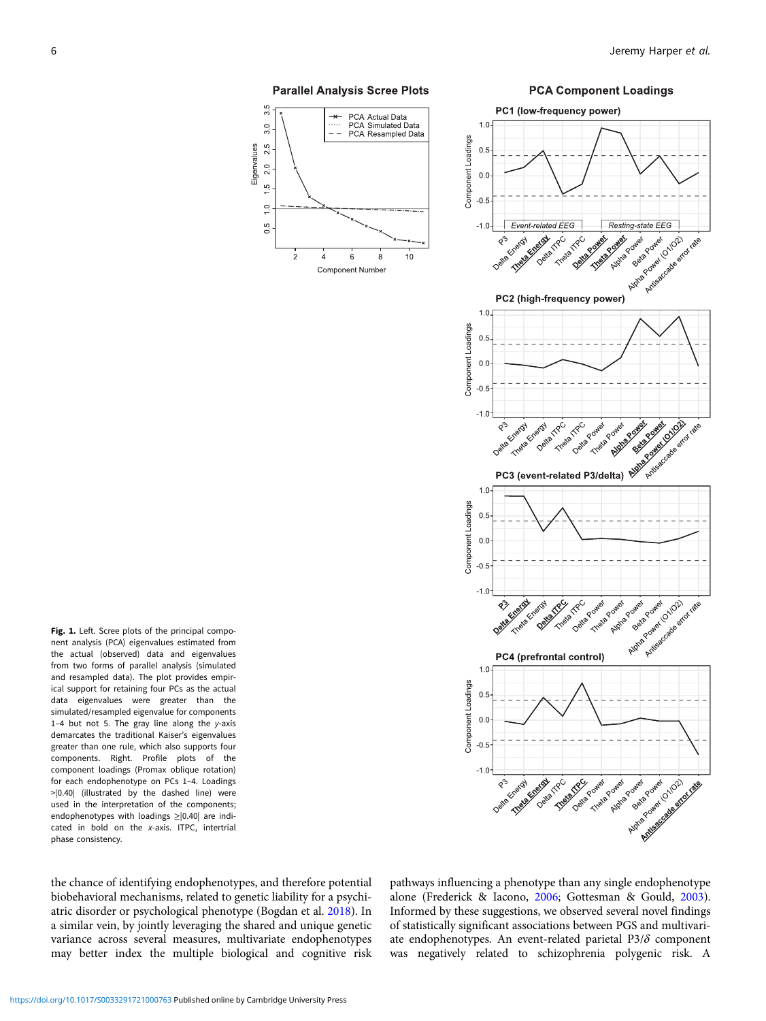

<span id="page-5-0"></span>



nent analysis (PCA) eigenvalues estimated from the actual (observed) data and eigenvalues from two forms of parallel analysis (simulated and resampled data). The plot provides empirical support for retaining four PCs as the actual data eigenvalues were greater than the simulated/resampled eigenvalue for components 1-4 but not 5. The gray line along the  $y$ -axis demarcates the traditional Kaiser's eigenvalues greater than one rule, which also supports four components. Right. Profile plots of the component loadings (Promax oblique rotation) for each endophenotype on PCs 1–4. Loadings >|0.40| (illustrated by the dashed line) were used in the interpretation of the components; endophenotypes with loadings ≥|0.40| are indicated in bold on the x-axis. ITPC, intertrial phase consistency.

Fig. 1. Left. Scree plots of the principal compo-

the chance of identifying endophenotypes, and therefore potential biobehavioral mechanisms, related to genetic liability for a psychiatric disorder or psychological phenotype (Bogdan et al. [2018\)](#page-8-0). In a similar vein, by jointly leveraging the shared and unique genetic variance across several measures, multivariate endophenotypes may better index the multiple biological and cognitive risk pathways influencing a phenotype than any single endophenotype alone (Frederick & Iacono, [2006](#page-8-0); Gottesman & Gould, [2003](#page-8-0)). Informed by these suggestions, we observed several novel findings of statistically significant associations between PGS and multivariate endophenotypes. An event-related parietal P3/ $\delta$  component was negatively related to schizophrenia polygenic risk. A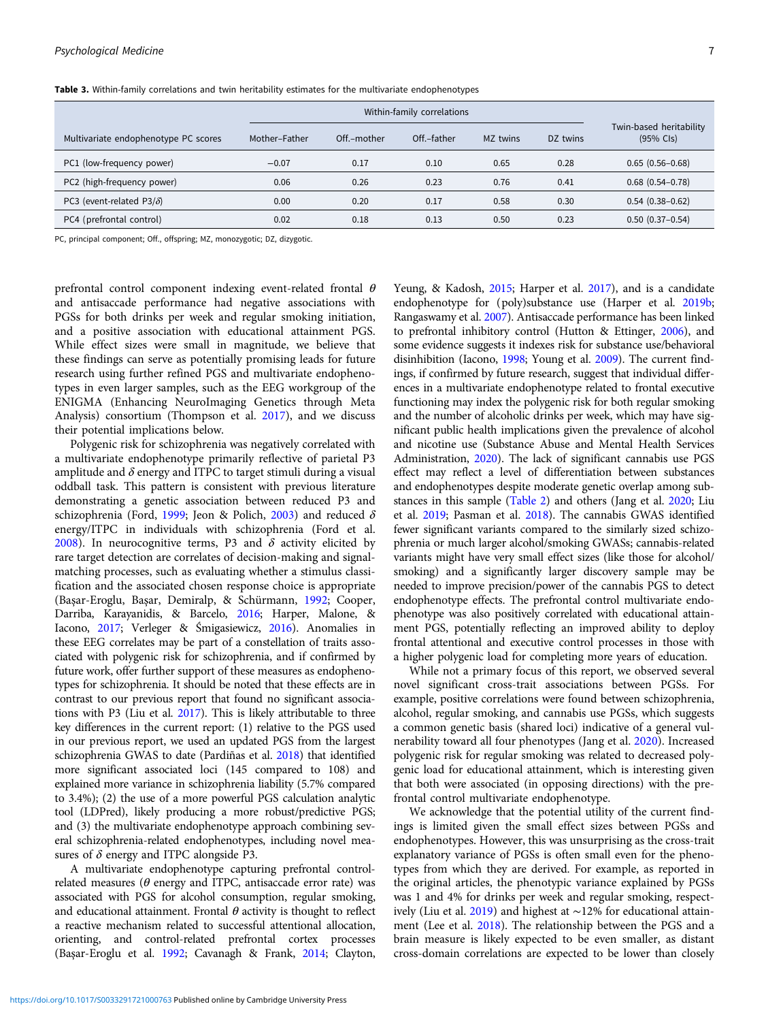|                                      |               |             | Within-family correlations |          |          |                                                |
|--------------------------------------|---------------|-------------|----------------------------|----------|----------|------------------------------------------------|
| Multivariate endophenotype PC scores | Mother-Father | Off.-mother | Off.-father                | MZ twins | DZ twins | Twin-based heritability<br>$(95% \text{ CIs})$ |
| PC1 (low-frequency power)            | $-0.07$       | 0.17        | 0.10                       | 0.65     | 0.28     | $0.65(0.56 - 0.68)$                            |
| PC2 (high-frequency power)           | 0.06          | 0.26        | 0.23                       | 0.76     | 0.41     | $0.68$ $(0.54 - 0.78)$                         |
| PC3 (event-related P3/ $\delta$ )    | 0.00          | 0.20        | 0.17                       | 0.58     | 0.30     | $0.54(0.38 - 0.62)$                            |
| PC4 (prefrontal control)             | 0.02          | 0.18        | 0.13                       | 0.50     | 0.23     | $0.50(0.37-0.54)$                              |

<span id="page-6-0"></span>Table 3. Within-family correlations and twin heritability estimates for the multivariate endophenotypes

PC, principal component; Off., offspring; MZ, monozygotic; DZ, dizygotic.

prefrontal control component indexing event-related frontal  $\theta$ and antisaccade performance had negative associations with PGSs for both drinks per week and regular smoking initiation, and a positive association with educational attainment PGS. While effect sizes were small in magnitude, we believe that these findings can serve as potentially promising leads for future research using further refined PGS and multivariate endophenotypes in even larger samples, such as the EEG workgroup of the ENIGMA (Enhancing NeuroImaging Genetics through Meta Analysis) consortium (Thompson et al. [2017](#page-10-0)), and we discuss their potential implications below.

Polygenic risk for schizophrenia was negatively correlated with a multivariate endophenotype primarily reflective of parietal P3 amplitude and  $\delta$  energy and ITPC to target stimuli during a visual oddball task. This pattern is consistent with previous literature demonstrating a genetic association between reduced P3 and schizophrenia (Ford, [1999](#page-8-0); Jeon & Polich, [2003\)](#page-9-0) and reduced  $\delta$ energy/ITPC in individuals with schizophrenia (Ford et al. [2008\)](#page-8-0). In neurocognitive terms, P3 and  $\delta$  activity elicited by rare target detection are correlates of decision-making and signalmatching processes, such as evaluating whether a stimulus classification and the associated chosen response choice is appropriate (Başar-Eroglu, Başar, Demiralp, & Schürmann, [1992;](#page-8-0) Cooper, Darriba, Karayanidis, & Barcelo, [2016](#page-8-0); Harper, Malone, & Iacono, [2017;](#page-9-0) Verleger & Śmigasiewicz, [2016](#page-10-0)). Anomalies in these EEG correlates may be part of a constellation of traits associated with polygenic risk for schizophrenia, and if confirmed by future work, offer further support of these measures as endophenotypes for schizophrenia. It should be noted that these effects are in contrast to our previous report that found no significant associations with P3 (Liu et al. [2017\)](#page-9-0). This is likely attributable to three key differences in the current report: (1) relative to the PGS used in our previous report, we used an updated PGS from the largest schizophrenia GWAS to date (Pardiñas et al. [2018\)](#page-10-0) that identified more significant associated loci (145 compared to 108) and explained more variance in schizophrenia liability (5.7% compared to 3.4%); (2) the use of a more powerful PGS calculation analytic tool (LDPred), likely producing a more robust/predictive PGS; and (3) the multivariate endophenotype approach combining several schizophrenia-related endophenotypes, including novel measures of  $\delta$  energy and ITPC alongside P3.

A multivariate endophenotype capturing prefrontal controlrelated measures ( $\theta$  energy and ITPC, antisaccade error rate) was associated with PGS for alcohol consumption, regular smoking, and educational attainment. Frontal  $\theta$  activity is thought to reflect a reactive mechanism related to successful attentional allocation, orienting, and control-related prefrontal cortex processes (Başar-Eroglu et al. [1992;](#page-8-0) Cavanagh & Frank, [2014](#page-8-0); Clayton,

Yeung, & Kadosh, [2015](#page-8-0); Harper et al. [2017](#page-9-0)), and is a candidate endophenotype for (poly)substance use (Harper et al. [2019b](#page-9-0); Rangaswamy et al. [2007](#page-10-0)). Antisaccade performance has been linked to prefrontal inhibitory control (Hutton & Ettinger, [2006\)](#page-9-0), and some evidence suggests it indexes risk for substance use/behavioral disinhibition (Iacono, [1998](#page-9-0); Young et al. [2009\)](#page-10-0). The current findings, if confirmed by future research, suggest that individual differences in a multivariate endophenotype related to frontal executive functioning may index the polygenic risk for both regular smoking and the number of alcoholic drinks per week, which may have significant public health implications given the prevalence of alcohol and nicotine use (Substance Abuse and Mental Health Services Administration, [2020\)](#page-10-0). The lack of significant cannabis use PGS effect may reflect a level of differentiation between substances and endophenotypes despite moderate genetic overlap among substances in this sample [\(Table 2\)](#page-4-0) and others (Jang et al. [2020;](#page-9-0) Liu et al. [2019;](#page-9-0) Pasman et al. [2018\)](#page-10-0). The cannabis GWAS identified fewer significant variants compared to the similarly sized schizophrenia or much larger alcohol/smoking GWASs; cannabis-related variants might have very small effect sizes (like those for alcohol/ smoking) and a significantly larger discovery sample may be needed to improve precision/power of the cannabis PGS to detect endophenotype effects. The prefrontal control multivariate endophenotype was also positively correlated with educational attainment PGS, potentially reflecting an improved ability to deploy frontal attentional and executive control processes in those with a higher polygenic load for completing more years of education.

While not a primary focus of this report, we observed several novel significant cross-trait associations between PGSs. For example, positive correlations were found between schizophrenia, alcohol, regular smoking, and cannabis use PGSs, which suggests a common genetic basis (shared loci) indicative of a general vulnerability toward all four phenotypes (Jang et al. [2020\)](#page-9-0). Increased polygenic risk for regular smoking was related to decreased polygenic load for educational attainment, which is interesting given that both were associated (in opposing directions) with the prefrontal control multivariate endophenotype.

We acknowledge that the potential utility of the current findings is limited given the small effect sizes between PGSs and endophenotypes. However, this was unsurprising as the cross-trait explanatory variance of PGSs is often small even for the phenotypes from which they are derived. For example, as reported in the original articles, the phenotypic variance explained by PGSs was 1 and 4% for drinks per week and regular smoking, respectively (Liu et al. [2019\)](#page-9-0) and highest at ∼12% for educational attainment (Lee et al. [2018](#page-9-0)). The relationship between the PGS and a brain measure is likely expected to be even smaller, as distant cross-domain correlations are expected to be lower than closely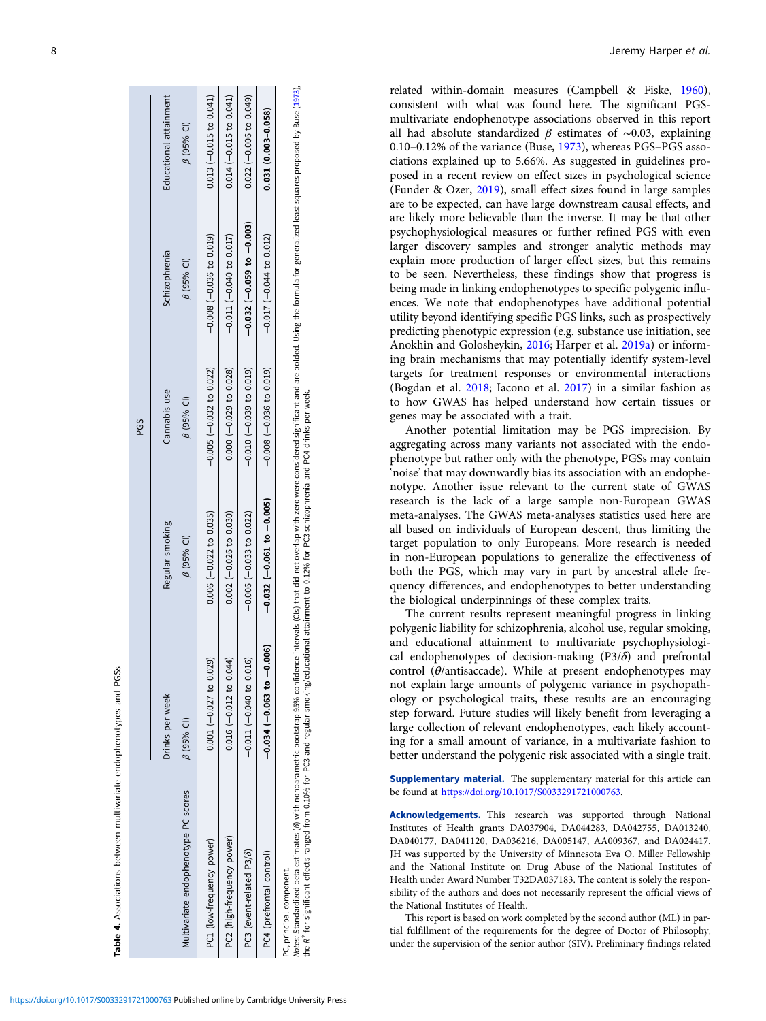<span id="page-7-0"></span>

|                                      |                            |                                   | PGS                            |                              |                             |
|--------------------------------------|----------------------------|-----------------------------------|--------------------------------|------------------------------|-----------------------------|
|                                      | Drinks per week            | Regular smoking                   | Cannabis use                   | Schizophrenia                | Educational attainment      |
| Multivariate endophenotype PC scores | $\beta$ (95% CI)           | $\beta$ (95% CI)                  | $\beta$ (95% CI)               | $\beta$ (95% CI)             | $\beta$ (95% CI)            |
| PC1 (low-frequency power)            | $0.001 (-0.027 to 0.029)$  | $0.006 (-0.022 to 0.035)$         | $-0.005$ $(-0.032$ to 0.022)   | $-0.008$ $(-0.036$ to 0.019) | $0.013 (-0.015$ to $0.041)$ |
| PC2 (high-frequency power)           | $0.016$ (-0.012 to 0.04)   | $0.002 (-0.026$ to $0.030)$       | $0.000 (-0.029$ to $0.028)$    | $-0.011 (-0.040 to 0.017)$   | $0.014 (-0.015 to 0.041)$   |
| PC3 (event-related P3/8)             | $-0.011 (-0.040 to 0.016)$ | $-0.006(-0.033$ to 0.022)         | $-0.010$ $(-0.039$ to $0.019)$ | $(-0.032(-0.059 to -0.003))$ | $0.022$ (-0.006 to 0.049)   |
| PC4 (prefrontal control)             | $-0.034(-0.063 to -0.006)$ | $-0.032$ ( $-0.061$ to $-0.005$ ) | $-0.008$ $(-0.036$ to 0.019)   | $-0.017$ $(-0.044$ to 0.012) | $0.031(0.003 - 0.058)$      |
| PC, principal component.             |                            |                                   |                                |                              |                             |

Notes: Standardized beta estimates (β) with nonparametric bootstrap 95% confidence intervals (CIs) that did not overlap with zero were considered significant and are bolded. Using the formula for generalized least squares Notes: Standardized beta estimates (β) with nonparametric bootstrap 95% confidence intervals (CIs) that did not overlap with zero were considered significant and are bolded. Using the formula for generalized least squares the R2 for significant effects ranged from 0.10% for PC3 and regular smoking/educational attainment to 0.12% for PC3-schizophrenia and PC4-drinks per week.

related within-domain measures (Campbell & Fiske, [1960](#page-8-0)), consistent with what was found here. The significant PGSmultivariate endophenotype associations observed in this report all had absolute standardized  $\beta$  estimates of ~0.03, explaining 0.10–0.12% of the variance (Buse, [1973](#page-8-0)), whereas PGS–PGS associations explained up to 5.66%. As suggested in guidelines proposed in a recent review on effect sizes in psychological science (Funder & Ozer, [2019\)](#page-8-0), small effect sizes found in large samples are to be expected, can have large downstream causal effects, and are likely more believable than the inverse. It may be that other psychophysiological measures or further refined PGS with even larger discovery samples and stronger analytic methods may explain more production of larger effect sizes, but this remains to be seen. Nevertheless, these findings show that progress is being made in linking endophenotypes to specific polygenic influences. We note that endophenotypes have additional potential utility beyond identifying specific PGS links, such as prospectively predicting phenotypic expression (e.g. substance use initiation, see Anokhin and Golosheykin, [2016;](#page-8-0) Harper et al. [2019a\)](#page-9-0) or informing brain mechanisms that may potentially identify system-level targets for treatment responses or environmental interactions (Bogdan et al. [2018;](#page-8-0) Iacono et al. [2017](#page-9-0)) in a similar fashion as to how GWAS has helped understand how certain tissues or genes may be associated with a trait.

Another potential limitation may be PGS imprecision. By aggregating across many variants not associated with the endophenotype but rather only with the phenotype, PGSs may contain 'noise' that may downwardly bias its association with an endophenotype. Another issue relevant to the current state of GWAS research is the lack of a large sample non-European GWAS meta-analyses. The GWAS meta-analyses statistics used here are all based on individuals of European descent, thus limiting the target population to only Europeans. More research is needed in non-European populations to generalize the effectiveness of both the PGS, which may vary in part by ancestral allele frequency differences, and endophenotypes to better understanding the biological underpinnings of these complex traits.

The current results represent meaningful progress in linking polygenic liability for schizophrenia, alcohol use, regular smoking, and educational attainment to multivariate psychophysiological endophenotypes of decision-making  $(P3/\delta)$  and prefrontal control ( $\theta$ /antisaccade). While at present endophenotypes may not explain large amounts of polygenic variance in psychopathology or psychological traits, these results are an encouraging step forward. Future studies will likely benefit from leveraging a large collection of relevant endophenotypes, each likely accounting for a small amount of variance, in a multivariate fashion to better understand the polygenic risk associated with a single trait.

Supplementary material. The supplementary material for this article can be found at [https://doi.org/10.1017/S0033291721000763.](https://doi.org/10.1017/S0033291721000763)

Acknowledgements. This research was supported through National Institutes of Health grants DA037904, DA044283, DA042755, DA013240, DA040177, DA041120, DA036216, DA005147, AA009367, and DA024417. JH was supported by the University of Minnesota Eva O. Miller Fellowship and the National Institute on Drug Abuse of the National Institutes of Health under Award Number T32DA037183. The content is solely the responsibility of the authors and does not necessarily represent the official views of the National Institutes of Health.

This report is based on work completed by the second author (ML) in partial fulfillment of the requirements for the degree of Doctor of Philosophy, under the supervision of the senior author (SIV). Preliminary findings related

Table 4. Associations between multivariate endophenotypes and PGSs

Table 4. Associations between multivariate endophenotypes and PGSs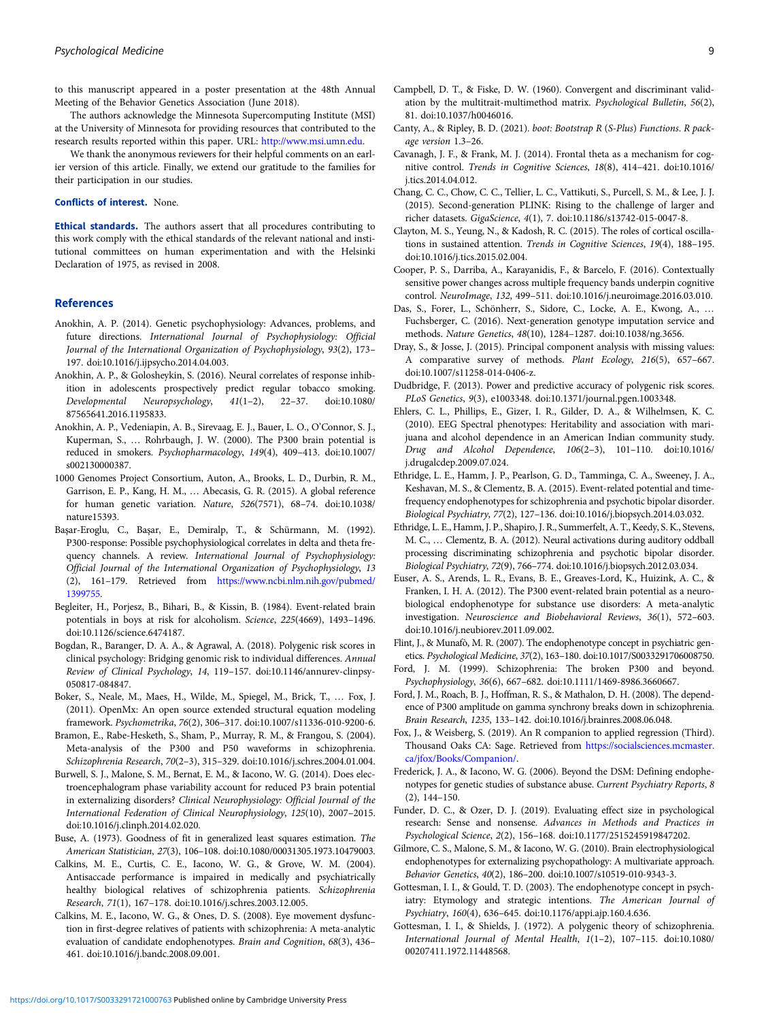<span id="page-8-0"></span>to this manuscript appeared in a poster presentation at the 48th Annual Meeting of the Behavior Genetics Association (June 2018).

The authors acknowledge the Minnesota Supercomputing Institute (MSI) at the University of Minnesota for providing resources that contributed to the research results reported within this paper. URL: [http://www.msi.umn.edu.](http://www.msi.umn.edu)

We thank the anonymous reviewers for their helpful comments on an earlier version of this article. Finally, we extend our gratitude to the families for their participation in our studies.

#### Conflicts of interest. None.

Ethical standards. The authors assert that all procedures contributing to this work comply with the ethical standards of the relevant national and institutional committees on human experimentation and with the Helsinki Declaration of 1975, as revised in 2008.

## References

- Anokhin, A. P. (2014). Genetic psychophysiology: Advances, problems, and future directions. International Journal of Psychophysiology: Official Journal of the International Organization of Psychophysiology, 93(2), 173– 197. doi:10.1016/j.ijpsycho.2014.04.003.
- Anokhin, A. P., & Golosheykin, S. (2016). Neural correlates of response inhibition in adolescents prospectively predict regular tobacco smoking. Developmental Neuropsychology, 41(1–2), 22–37. doi:10.1080/ 87565641.2016.1195833.
- Anokhin, A. P., Vedeniapin, A. B., Sirevaag, E. J., Bauer, L. O., O'Connor, S. J., Kuperman, S., … Rohrbaugh, J. W. (2000). The P300 brain potential is reduced in smokers. Psychopharmacology, 149(4), 409–413. doi:10.1007/ s002130000387.
- 1000 Genomes Project Consortium, Auton, A., Brooks, L. D., Durbin, R. M., Garrison, E. P., Kang, H. M., … Abecasis, G. R. (2015). A global reference for human genetic variation. Nature, 526(7571), 68–74. doi:10.1038/ nature15393.
- Başar-Eroglu, C., Başar, E., Demiralp, T., & Schürmann, M. (1992). P300-response: Possible psychophysiological correlates in delta and theta frequency channels. A review. International Journal of Psychophysiology: Official Journal of the International Organization of Psychophysiology, 13 (2), 161–179. Retrieved from [https://www.ncbi.nlm.nih.gov/pubmed/](https://www.ncbi.nlm.nih.gov/pubmed/1399755) [1399755.](https://www.ncbi.nlm.nih.gov/pubmed/1399755)
- Begleiter, H., Porjesz, B., Bihari, B., & Kissin, B. (1984). Event-related brain potentials in boys at risk for alcoholism. Science, 225(4669), 1493–1496. doi:10.1126/science.6474187.
- Bogdan, R., Baranger, D. A. A., & Agrawal, A. (2018). Polygenic risk scores in clinical psychology: Bridging genomic risk to individual differences. Annual Review of Clinical Psychology, 14, 119–157. doi:10.1146/annurev-clinpsy-050817-084847.
- Boker, S., Neale, M., Maes, H., Wilde, M., Spiegel, M., Brick, T., … Fox, J. (2011). OpenMx: An open source extended structural equation modeling framework. Psychometrika, 76(2), 306–317. doi:10.1007/s11336-010-9200-6.
- Bramon, E., Rabe-Hesketh, S., Sham, P., Murray, R. M., & Frangou, S. (2004). Meta-analysis of the P300 and P50 waveforms in schizophrenia. Schizophrenia Research, 70(2–3), 315–329. doi:10.1016/j.schres.2004.01.004.
- Burwell, S. J., Malone, S. M., Bernat, E. M., & Iacono, W. G. (2014). Does electroencephalogram phase variability account for reduced P3 brain potential in externalizing disorders? Clinical Neurophysiology: Official Journal of the International Federation of Clinical Neurophysiology, 125(10), 2007–2015. doi:10.1016/j.clinph.2014.02.020.
- Buse, A. (1973). Goodness of fit in generalized least squares estimation. The American Statistician, 27(3), 106–108. doi:10.1080/00031305.1973.10479003.
- Calkins, M. E., Curtis, C. E., Iacono, W. G., & Grove, W. M. (2004). Antisaccade performance is impaired in medically and psychiatrically healthy biological relatives of schizophrenia patients. Schizophrenia Research, 71(1), 167–178. doi:10.1016/j.schres.2003.12.005.
- Calkins, M. E., Iacono, W. G., & Ones, D. S. (2008). Eye movement dysfunction in first-degree relatives of patients with schizophrenia: A meta-analytic evaluation of candidate endophenotypes. Brain and Cognition, 68(3), 436– 461. doi:10.1016/j.bandc.2008.09.001.
- Campbell, D. T., & Fiske, D. W. (1960). Convergent and discriminant validation by the multitrait-multimethod matrix. Psychological Bulletin, 56(2), 81. doi:10.1037/h0046016.
- Canty, A., & Ripley, B. D. (2021). boot: Bootstrap R (S-Plus) Functions. R package version 1.3–26.
- Cavanagh, J. F., & Frank, M. J. (2014). Frontal theta as a mechanism for cognitive control. Trends in Cognitive Sciences, 18(8), 414–421. doi:10.1016/ j.tics.2014.04.012.
- Chang, C. C., Chow, C. C., Tellier, L. C., Vattikuti, S., Purcell, S. M., & Lee, J. J. (2015). Second-generation PLINK: Rising to the challenge of larger and richer datasets. GigaScience, 4(1), 7. doi:10.1186/s13742-015-0047-8.
- Clayton, M. S., Yeung, N., & Kadosh, R. C. (2015). The roles of cortical oscillations in sustained attention. Trends in Cognitive Sciences, 19(4), 188–195. doi:10.1016/j.tics.2015.02.004.
- Cooper, P. S., Darriba, A., Karayanidis, F., & Barcelo, F. (2016). Contextually sensitive power changes across multiple frequency bands underpin cognitive control. NeuroImage, 132, 499–511. doi:10.1016/j.neuroimage.2016.03.010.
- Das, S., Forer, L., Schönherr, S., Sidore, C., Locke, A. E., Kwong, A., … Fuchsberger, C. (2016). Next-generation genotype imputation service and methods. Nature Genetics, 48(10), 1284–1287. doi:10.1038/ng.3656.
- Dray, S., & Josse, J. (2015). Principal component analysis with missing values: A comparative survey of methods. Plant Ecology, 216(5), 657–667. doi:10.1007/s11258-014-0406-z.
- Dudbridge, F. (2013). Power and predictive accuracy of polygenic risk scores. PLoS Genetics, 9(3), e1003348. doi:10.1371/journal.pgen.1003348.
- Ehlers, C. L., Phillips, E., Gizer, I. R., Gilder, D. A., & Wilhelmsen, K. C. (2010). EEG Spectral phenotypes: Heritability and association with marijuana and alcohol dependence in an American Indian community study. Drug and Alcohol Dependence, 106(2–3), 101–110. doi:10.1016/ j.drugalcdep.2009.07.024.
- Ethridge, L. E., Hamm, J. P., Pearlson, G. D., Tamminga, C. A., Sweeney, J. A., Keshavan, M. S., & Clementz, B. A. (2015). Event-related potential and timefrequency endophenotypes for schizophrenia and psychotic bipolar disorder. Biological Psychiatry, 77(2), 127–136. doi:10.1016/j.biopsych.2014.03.032.
- Ethridge, L. E., Hamm, J. P., Shapiro, J. R., Summerfelt, A. T., Keedy, S. K., Stevens, M. C., … Clementz, B. A. (2012). Neural activations during auditory oddball processing discriminating schizophrenia and psychotic bipolar disorder. Biological Psychiatry, 72(9), 766–774. doi:10.1016/j.biopsych.2012.03.034.
- Euser, A. S., Arends, L. R., Evans, B. E., Greaves-Lord, K., Huizink, A. C., & Franken, I. H. A. (2012). The P300 event-related brain potential as a neurobiological endophenotype for substance use disorders: A meta-analytic investigation. Neuroscience and Biobehavioral Reviews, 36(1), 572–603. doi:10.1016/j.neubiorev.2011.09.002.
- Flint, J., & Munafò, M. R. (2007). The endophenotype concept in psychiatric genetics. Psychological Medicine, 37(2), 163–180. doi:10.1017/S0033291706008750.
- Ford, J. M. (1999). Schizophrenia: The broken P300 and beyond. Psychophysiology, 36(6), 667–682. doi:10.1111/1469-8986.3660667.
- Ford, J. M., Roach, B. J., Hoffman, R. S., & Mathalon, D. H. (2008). The dependence of P300 amplitude on gamma synchrony breaks down in schizophrenia. Brain Research, 1235, 133–142. doi:10.1016/j.brainres.2008.06.048.
- Fox, J., & Weisberg, S. (2019). An R companion to applied regression (Third). Thousand Oaks CA: Sage. Retrieved from [https://socialsciences.mcmaster.](https://socialsciences.mcmaster.ca/jfox/Books/Companion/) [ca/jfox/Books/Companion/.](https://socialsciences.mcmaster.ca/jfox/Books/Companion/)
- Frederick, J. A., & Iacono, W. G. (2006). Beyond the DSM: Defining endophenotypes for genetic studies of substance abuse. Current Psychiatry Reports, 8 (2), 144–150.
- Funder, D. C., & Ozer, D. J. (2019). Evaluating effect size in psychological research: Sense and nonsense. Advances in Methods and Practices in Psychological Science, 2(2), 156–168. doi:10.1177/2515245919847202.
- Gilmore, C. S., Malone, S. M., & Iacono, W. G. (2010). Brain electrophysiological endophenotypes for externalizing psychopathology: A multivariate approach. Behavior Genetics, 40(2), 186–200. doi:10.1007/s10519-010-9343-3.
- Gottesman, I. I., & Gould, T. D. (2003). The endophenotype concept in psychiatry: Etymology and strategic intentions. The American Journal of Psychiatry, 160(4), 636–645. doi:10.1176/appi.ajp.160.4.636.
- Gottesman, I. I., & Shields, J. (1972). A polygenic theory of schizophrenia. International Journal of Mental Health, 1(1–2), 107–115. doi:10.1080/ 00207411.1972.11448568.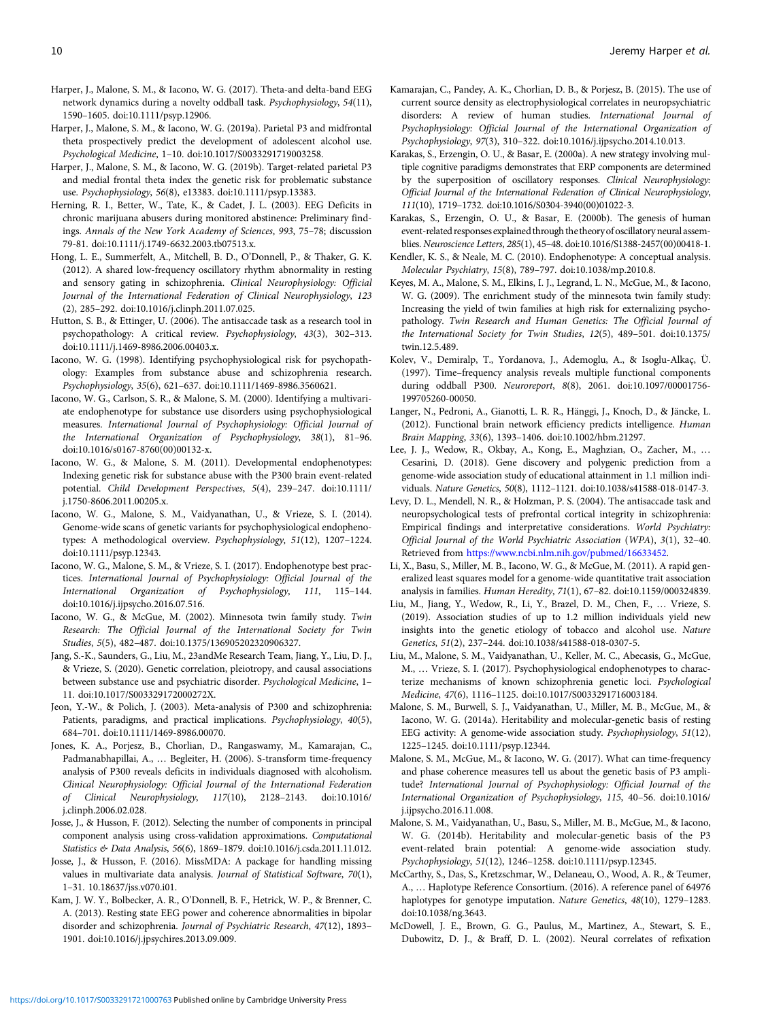- <span id="page-9-0"></span>Harper, J., Malone, S. M., & Iacono, W. G. (2017). Theta-and delta-band EEG network dynamics during a novelty oddball task. Psychophysiology, 54(11), 1590–1605. doi:10.1111/psyp.12906.
- Harper, J., Malone, S. M., & Iacono, W. G. (2019a). Parietal P3 and midfrontal theta prospectively predict the development of adolescent alcohol use. Psychological Medicine, 1–10. doi:10.1017/S0033291719003258.
- Harper, J., Malone, S. M., & Iacono, W. G. (2019b). Target-related parietal P3 and medial frontal theta index the genetic risk for problematic substance use. Psychophysiology, 56(8), e13383. doi:10.1111/psyp.13383.
- Herning, R. I., Better, W., Tate, K., & Cadet, J. L. (2003). EEG Deficits in chronic marijuana abusers during monitored abstinence: Preliminary findings. Annals of the New York Academy of Sciences, 993, 75–78; discussion 79-81. doi:10.1111/j.1749-6632.2003.tb07513.x.
- Hong, L. E., Summerfelt, A., Mitchell, B. D., O'Donnell, P., & Thaker, G. K. (2012). A shared low-frequency oscillatory rhythm abnormality in resting and sensory gating in schizophrenia. Clinical Neurophysiology: Official Journal of the International Federation of Clinical Neurophysiology, 123 (2), 285–292. doi:10.1016/j.clinph.2011.07.025.
- Hutton, S. B., & Ettinger, U. (2006). The antisaccade task as a research tool in psychopathology: A critical review. Psychophysiology, 43(3), 302–313. doi:10.1111/j.1469-8986.2006.00403.x.
- Iacono, W. G. (1998). Identifying psychophysiological risk for psychopathology: Examples from substance abuse and schizophrenia research. Psychophysiology, 35(6), 621–637. doi:10.1111/1469-8986.3560621.
- Iacono, W. G., Carlson, S. R., & Malone, S. M. (2000). Identifying a multivariate endophenotype for substance use disorders using psychophysiological measures. International Journal of Psychophysiology: Official Journal of the International Organization of Psychophysiology, 38(1), 81–96. doi:10.1016/s0167-8760(00)00132-x.
- Iacono, W. G., & Malone, S. M. (2011). Developmental endophenotypes: Indexing genetic risk for substance abuse with the P300 brain event-related potential. Child Development Perspectives, 5(4), 239–247. doi:10.1111/ j.1750-8606.2011.00205.x.
- Iacono, W. G., Malone, S. M., Vaidyanathan, U., & Vrieze, S. I. (2014). Genome-wide scans of genetic variants for psychophysiological endophenotypes: A methodological overview. Psychophysiology, 51(12), 1207–1224. doi:10.1111/psyp.12343.
- Iacono, W. G., Malone, S. M., & Vrieze, S. I. (2017). Endophenotype best practices. International Journal of Psychophysiology: Official Journal of the International Organization of Psychophysiology, 111, 115–144. doi:10.1016/j.ijpsycho.2016.07.516.
- Iacono, W. G., & McGue, M. (2002). Minnesota twin family study. Twin Research: The Official Journal of the International Society for Twin Studies, 5(5), 482–487. doi:10.1375/136905202320906327.
- Jang, S.-K., Saunders, G., Liu, M., 23andMe Research Team, Jiang, Y., Liu, D. J., & Vrieze, S. (2020). Genetic correlation, pleiotropy, and causal associations between substance use and psychiatric disorder. Psychological Medicine, 1– 11. doi:10.1017/S003329172000272X.
- Jeon, Y.-W., & Polich, J. (2003). Meta-analysis of P300 and schizophrenia: Patients, paradigms, and practical implications. Psychophysiology, 40(5), 684–701. doi:10.1111/1469-8986.00070.
- Jones, K. A., Porjesz, B., Chorlian, D., Rangaswamy, M., Kamarajan, C., Padmanabhapillai, A., … Begleiter, H. (2006). S-transform time-frequency analysis of P300 reveals deficits in individuals diagnosed with alcoholism. Clinical Neurophysiology: Official Journal of the International Federation of Clinical Neurophysiology, 117(10), 2128–2143. doi:10.1016/ j.clinph.2006.02.028.
- Josse, J., & Husson, F. (2012). Selecting the number of components in principal component analysis using cross-validation approximations. Computational Statistics & Data Analysis, 56(6), 1869–1879. doi:10.1016/j.csda.2011.11.012.
- Josse, J., & Husson, F. (2016). MissMDA: A package for handling missing values in multivariate data analysis. Journal of Statistical Software, 70(1), 1–31. 10.18637/jss.v070.i01.
- Kam, J. W. Y., Bolbecker, A. R., O'Donnell, B. F., Hetrick, W. P., & Brenner, C. A. (2013). Resting state EEG power and coherence abnormalities in bipolar disorder and schizophrenia. Journal of Psychiatric Research, 47(12), 1893– 1901. doi:10.1016/j.jpsychires.2013.09.009.
- Kamarajan, C., Pandey, A. K., Chorlian, D. B., & Porjesz, B. (2015). The use of current source density as electrophysiological correlates in neuropsychiatric disorders: A review of human studies. International Journal of Psychophysiology: Official Journal of the International Organization of Psychophysiology, 97(3), 310–322. doi:10.1016/j.ijpsycho.2014.10.013.
- Karakas, S., Erzengin, O. U., & Basar, E. (2000a). A new strategy involving multiple cognitive paradigms demonstrates that ERP components are determined by the superposition of oscillatory responses. Clinical Neurophysiology: Official Journal of the International Federation of Clinical Neurophysiology, 111(10), 1719–1732. doi:10.1016/S0304-3940(00)01022-3.
- Karakas, S., Erzengin, O. U., & Basar, E. (2000b). The genesis of human event-related responses explained through the theoryof oscillatory neural assemblies. Neuroscience Letters, 285(1), 45–48. doi:10.1016/S1388-2457(00)00418-1.
- Kendler, K. S., & Neale, M. C. (2010). Endophenotype: A conceptual analysis. Molecular Psychiatry, 15(8), 789–797. doi:10.1038/mp.2010.8.
- Keyes, M. A., Malone, S. M., Elkins, I. J., Legrand, L. N., McGue, M., & Iacono, W. G. (2009). The enrichment study of the minnesota twin family study: Increasing the yield of twin families at high risk for externalizing psychopathology. Twin Research and Human Genetics: The Official Journal of the International Society for Twin Studies, 12(5), 489–501. doi:10.1375/ twin.12.5.489.
- Kolev, V., Demiralp, T., Yordanova, J., Ademoglu, A., & Isoglu-Alkaç, Ü. (1997). Time–frequency analysis reveals multiple functional components during oddball P300. Neuroreport, 8(8), 2061. doi:10.1097/00001756- 199705260-00050.
- Langer, N., Pedroni, A., Gianotti, L. R. R., Hänggi, J., Knoch, D., & Jäncke, L. (2012). Functional brain network efficiency predicts intelligence. Human Brain Mapping, 33(6), 1393–1406. doi:10.1002/hbm.21297.
- Lee, J. J., Wedow, R., Okbay, A., Kong, E., Maghzian, O., Zacher, M., … Cesarini, D. (2018). Gene discovery and polygenic prediction from a genome-wide association study of educational attainment in 1.1 million individuals. Nature Genetics, 50(8), 1112–1121. doi:10.1038/s41588-018-0147-3.
- Levy, D. L., Mendell, N. R., & Holzman, P. S. (2004). The antisaccade task and neuropsychological tests of prefrontal cortical integrity in schizophrenia: Empirical findings and interpretative considerations. World Psychiatry: Official Journal of the World Psychiatric Association (WPA), 3(1), 32–40. Retrieved from <https://www.ncbi.nlm.nih.gov/pubmed/16633452>.
- Li, X., Basu, S., Miller, M. B., Iacono, W. G., & McGue, M. (2011). A rapid generalized least squares model for a genome-wide quantitative trait association analysis in families. Human Heredity, 71(1), 67–82. doi:10.1159/000324839.
- Liu, M., Jiang, Y., Wedow, R., Li, Y., Brazel, D. M., Chen, F., … Vrieze, S. (2019). Association studies of up to 1.2 million individuals yield new insights into the genetic etiology of tobacco and alcohol use. Nature Genetics, 51(2), 237–244. doi:10.1038/s41588-018-0307-5.
- Liu, M., Malone, S. M., Vaidyanathan, U., Keller, M. C., Abecasis, G., McGue, M., … Vrieze, S. I. (2017). Psychophysiological endophenotypes to characterize mechanisms of known schizophrenia genetic loci. Psychological Medicine, 47(6), 1116–1125. doi:10.1017/S0033291716003184.
- Malone, S. M., Burwell, S. J., Vaidyanathan, U., Miller, M. B., McGue, M., & Iacono, W. G. (2014a). Heritability and molecular-genetic basis of resting EEG activity: A genome-wide association study. Psychophysiology, 51(12), 1225–1245. doi:10.1111/psyp.12344.
- Malone, S. M., McGue, M., & Iacono, W. G. (2017). What can time-frequency and phase coherence measures tell us about the genetic basis of P3 amplitude? International Journal of Psychophysiology: Official Journal of the International Organization of Psychophysiology, 115, 40–56. doi:10.1016/ j.ijpsycho.2016.11.008.
- Malone, S. M., Vaidyanathan, U., Basu, S., Miller, M. B., McGue, M., & Iacono, W. G. (2014b). Heritability and molecular-genetic basis of the P3 event-related brain potential: A genome-wide association study. Psychophysiology, 51(12), 1246–1258. doi:10.1111/psyp.12345.
- McCarthy, S., Das, S., Kretzschmar, W., Delaneau, O., Wood, A. R., & Teumer, A., … Haplotype Reference Consortium. (2016). A reference panel of 64976 haplotypes for genotype imputation. Nature Genetics, 48(10), 1279-1283. doi:10.1038/ng.3643.
- McDowell, J. E., Brown, G. G., Paulus, M., Martinez, A., Stewart, S. E., Dubowitz, D. J., & Braff, D. L. (2002). Neural correlates of refixation